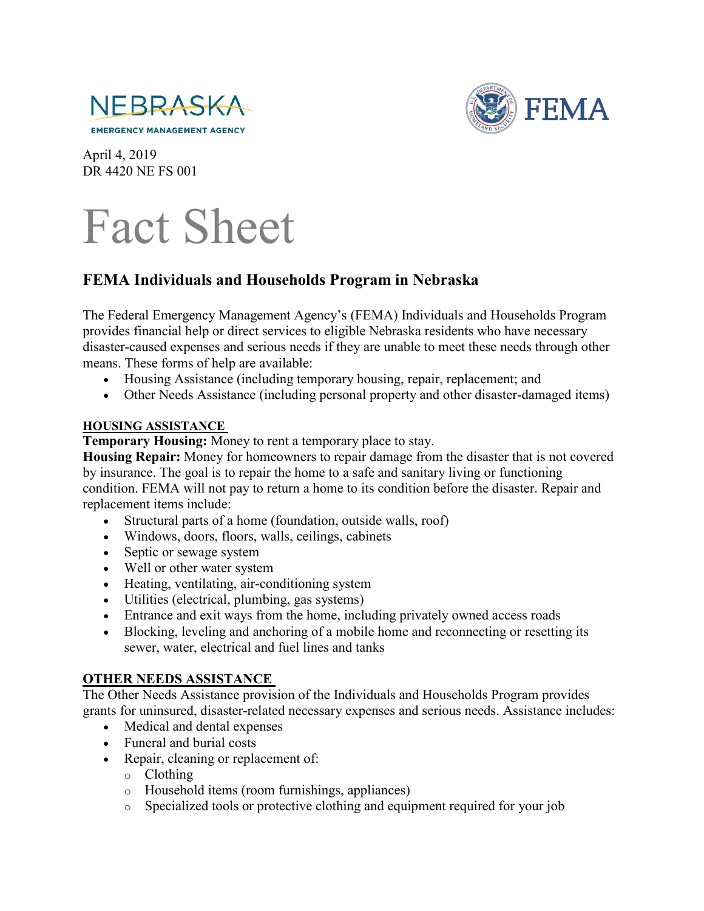



April 4, 2019 DR 4420 NE FS 001

## Fact Sheet

## **FEMA Individuals and Households Program in Nebraska**

The Federal Emergency Management Agency's (FEMA) Individuals and Households Program provides financial help or direct services to eligible Nebraska residents who have necessary disaster-caused expenses and serious needs if they are unable to meet these needs through other means. These forms of help are available:

- Housing Assistance (including temporary housing, repair, replacement; and
- Other Needs Assistance (including personal property and other disaster-damaged items)

## **HOUSING ASSISTANCE**

**Temporary Housing:** Money to rent a temporary place to stay.

**Housing Repair:** Money for homeowners to repair damage from the disaster that is not covered by insurance. The goal is to repair the home to a safe and sanitary living or functioning condition. FEMA will not pay to return a home to its condition before the disaster. Repair and replacement items include:

- Structural parts of a home (foundation, outside walls, roof)
- Windows, doors, floors, walls, ceilings, cabinets
- Septic or sewage system
- Well or other water system
- Heating, ventilating, air-conditioning system
- Utilities (electrical, plumbing, gas systems)
- Entrance and exit ways from the home, including privately owned access roads
- Blocking, leveling and anchoring of a mobile home and reconnecting or resetting its sewer, water, electrical and fuel lines and tanks

## **OTHER NEEDS ASSISTANCE**

The Other Needs Assistance provision of the Individuals and Households Program provides grants for uninsured, disaster-related necessary expenses and serious needs. Assistance includes:

- Medical and dental expenses
- Funeral and burial costs
- Repair, cleaning or replacement of:
	- o Clothing
	- o Household items (room furnishings, appliances)
	- o Specialized tools or protective clothing and equipment required for your job